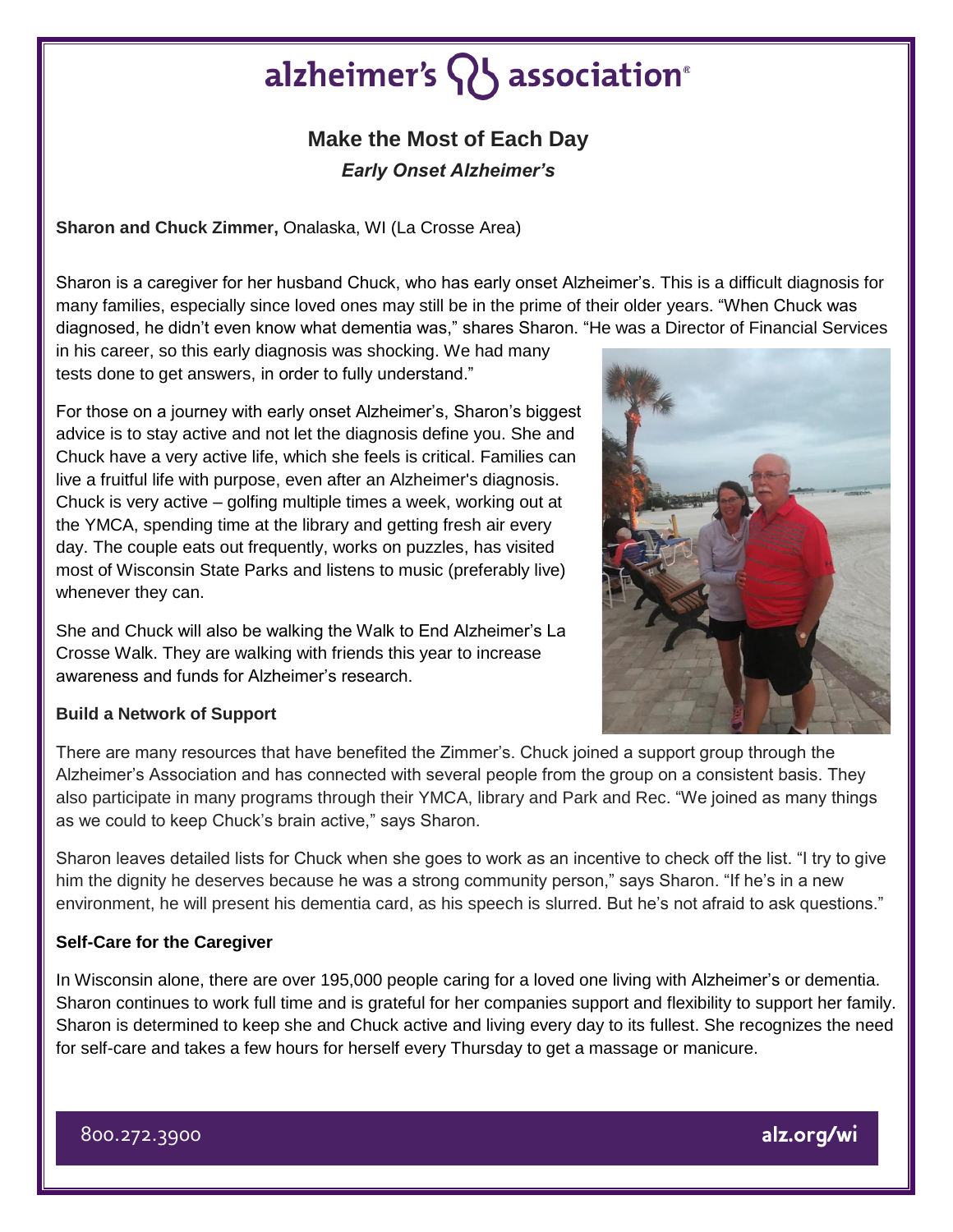## alzheimer's  $\{ \}$  association<sup>®</sup>

### **Make the Most of Each Day** *Early Onset Alzheimer's*

**Sharon and Chuck Zimmer,** Onalaska, WI (La Crosse Area)

Sharon is a caregiver for her husband Chuck, who has early onset Alzheimer's. This is a difficult diagnosis for many families, especially since loved ones may still be in the prime of their older years. "When Chuck was diagnosed, he didn't even know what dementia was," shares Sharon. "He was a Director of Financial Services

in his career, so this early diagnosis was shocking. We had many tests done to get answers, in order to fully understand."

For those on a journey with early onset Alzheimer's, Sharon's biggest advice is to stay active and not let the diagnosis define you. She and Chuck have a very active life, which she feels is critical. Families can live a fruitful life with purpose, even after an Alzheimer's diagnosis. Chuck is very active – golfing multiple times a week, working out at the YMCA, spending time at the library and getting fresh air every day. The couple eats out frequently, works on puzzles, has visited most of Wisconsin State Parks and listens to music (preferably live) whenever they can.

She and Chuck will also be walking the Walk to End Alzheimer's La Crosse Walk. They are walking with friends this year to increase awareness and funds for Alzheimer's research.

#### **Build a Network of Support**

There are many resources that have benefited the Zimmer's. Chuck joined a support group through the Alzheimer's Association and has connected with several people from the group on a consistent basis. They also participate in many programs through their YMCA, library and Park and Rec. "We joined as many things as we could to keep Chuck's brain active," says Sharon.

Sharon leaves detailed lists for Chuck when she goes to work as an incentive to check off the list. "I try to give him the dignity he deserves because he was a strong community person," says Sharon. "If he's in a new environment, he will present his dementia card, as his speech is slurred. But he's not afraid to ask questions."

#### **Self-Care for the Caregiver**

In Wisconsin alone, there are over 195,000 people caring for a loved one living with Alzheimer's or dementia. Sharon continues to work full time and is grateful for her companies support and flexibility to support her family. Sharon is determined to keep she and Chuck active and living every day to its fullest. She recognizes the need for self-care and takes a few hours for herself every Thursday to get a massage or manicure.